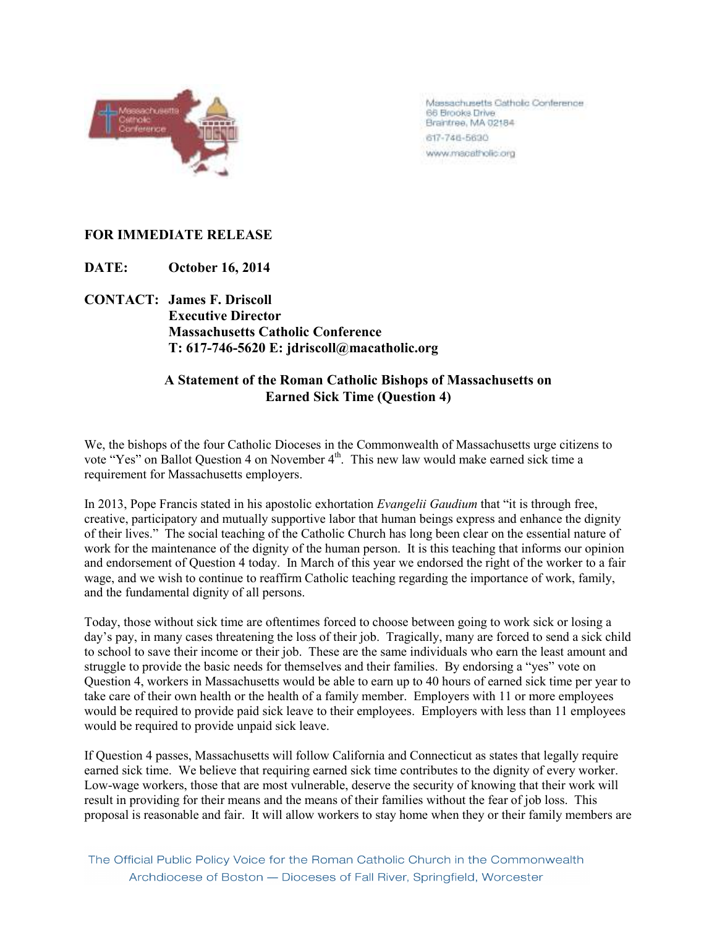

Massachusetts Catholic Conference 66 Brooks Drive Brantree, MA 02184 617-746-5630 www.macatholic.org

## **FOR IMMEDIATE RELEASE**

**DATE: October 16, 2014** 

**CONTACT: James F. Driscoll Executive Director Massachusetts Catholic Conference T: 617-746-5620 E: jdriscoll@macatholic.org** 

## **A Statement of the Roman Catholic Bishops of Massachusetts on Earned Sick Time (Question 4)**

We, the bishops of the four Catholic Dioceses in the Commonwealth of Massachusetts urge citizens to vote "Yes" on Ballot Question 4 on November 4<sup>th</sup>. This new law would make earned sick time a requirement for Massachusetts employers.

In 2013, Pope Francis stated in his apostolic exhortation *Evangelii Gaudium* that "it is through free, creative, participatory and mutually supportive labor that human beings express and enhance the dignity of their lives." The social teaching of the Catholic Church has long been clear on the essential nature of work for the maintenance of the dignity of the human person. It is this teaching that informs our opinion and endorsement of Question 4 today. In March of this year we endorsed the right of the worker to a fair wage, and we wish to continue to reaffirm Catholic teaching regarding the importance of work, family, and the fundamental dignity of all persons.

Today, those without sick time are oftentimes forced to choose between going to work sick or losing a day's pay, in many cases threatening the loss of their job. Tragically, many are forced to send a sick child to school to save their income or their job. These are the same individuals who earn the least amount and struggle to provide the basic needs for themselves and their families. By endorsing a "yes" vote on Question 4, workers in Massachusetts would be able to earn up to 40 hours of earned sick time per year to take care of their own health or the health of a family member. Employers with 11 or more employees would be required to provide paid sick leave to their employees. Employers with less than 11 employees would be required to provide unpaid sick leave.

If Question 4 passes, Massachusetts will follow California and Connecticut as states that legally require earned sick time. We believe that requiring earned sick time contributes to the dignity of every worker. Low-wage workers, those that are most vulnerable, deserve the security of knowing that their work will result in providing for their means and the means of their families without the fear of job loss. This proposal is reasonable and fair. It will allow workers to stay home when they or their family members are

The Official Public Policy Voice for the Roman Catholic Church in the Commonwealth Archdiocese of Boston - Dioceses of Fall River, Springfield, Worcester